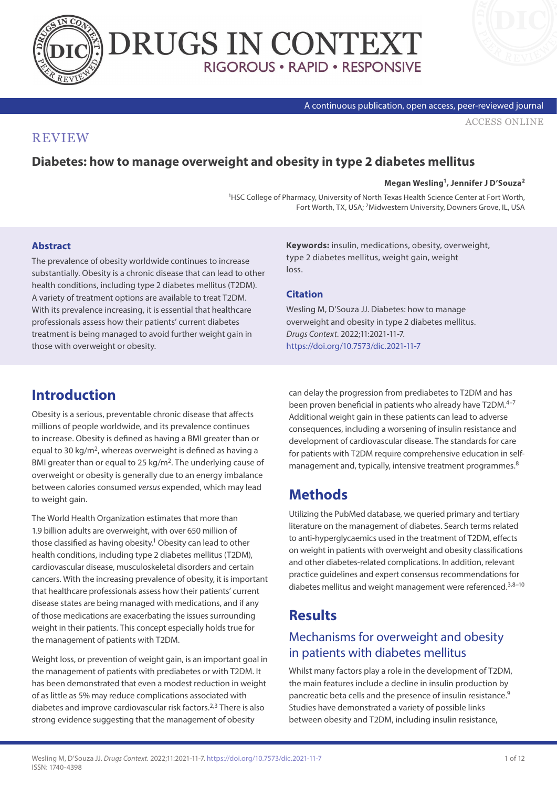



#### A continuous publication, open access, peer-reviewed journal

[ACCESS ONLINE](https://www.drugsincontext.com/diabetes-how-to-manage-overweight-and-obesity-in-type-2-diabetes-mellitus)

## **REVIEW**

## **Diabetes: how to manage overweight and obesity in type 2 diabetes mellitus**

#### **Megan Wesling1, Jennifer J D'Souza2**

1HSC College of Pharmacy, University of North Texas Health Science Center at Fort Worth, Fort Worth, TX, USA; 2Midwestern University, Downers Grove, IL, USA

### **Abstract**

The prevalence of obesity worldwide continues to increase substantially. Obesity is a chronic disease that can lead to other health conditions, including type 2 diabetes mellitus (T2DM). A variety of treatment options are available to treat T2DM. With its prevalence increasing, it is essential that healthcare professionals assess how their patients' current diabetes treatment is being managed to avoid further weight gain in those with overweight or obesity.

**Keywords:** insulin, medications, obesity, overweight, type 2 diabetes mellitus, weight gain, weight loss.

### **Citation**

Wesling M, D'Souza JJ. Diabetes: how to manage overweight and obesity in type 2 diabetes mellitus. *Drugs Context*. 2022;11:2021-11-7. <https://doi.org/10.7573/dic.2021-11-7>

# **Introduction**

Obesity is a serious, preventable chronic disease that affects millions of people worldwide, and its prevalence continues to increase. Obesity is defined as having a BMI greater than or equal to 30 kg/ $m^2$ , whereas overweight is defined as having a BMI greater than or equal to 25 kg/m<sup>2</sup>. The underlying cause of overweight or obesity is generally due to an energy imbalance between calories consumed *versus* expended, which may lead to weight gain.

The World Health Organization estimates that more than 1.9 billion adults are overweight, with over 650 million of those classified as having obesity.<sup>1</sup> Obesity can lead to other health conditions, including type 2 diabetes mellitus (T2DM), cardiovascular disease, musculoskeletal disorders and certain cancers. With the increasing prevalence of obesity, it is important that healthcare professionals assess how their patients' current disease states are being managed with medications, and if any of those medications are exacerbating the issues surrounding weight in their patients. This concept especially holds true for the management of patients with T2DM.

Weight loss, or prevention of weight gain, is an important goal in the management of patients with prediabetes or with T2DM. It has been demonstrated that even a modest reduction in weight of as little as 5% may reduce complications associated with diabetes and improve cardiovascular risk factors.<sup>2,3</sup> There is also strong evidence suggesting that the management of obesity

can delay the progression from prediabetes to T2DM and has been proven beneficial in patients who already have T2DM.<sup>4-7</sup> Additional weight gain in these patients can lead to adverse consequences, including a worsening of insulin resistance and development of cardiovascular disease. The standards for care for patients with T2DM require comprehensive education in selfmanagement and, typically, intensive treatment programmes.<sup>8</sup>

# **Methods**

Utilizing the PubMed database, we queried primary and tertiary literature on the management of diabetes. Search terms related to anti-hyperglycaemics used in the treatment of T2DM, effects on weight in patients with overweight and obesity classifications and other diabetes-related complications. In addition, relevant practice guidelines and expert consensus recommendations for diabetes mellitus and weight management were referenced.<sup>3,8-10</sup>

# **Results**

# Mechanisms for overweight and obesity in patients with diabetes mellitus

Whilst many factors play a role in the development of T2DM, the main features include a decline in insulin production by pancreatic beta cells and the presence of insulin resistance.9 Studies have demonstrated a variety of possible links between obesity and T2DM, including insulin resistance,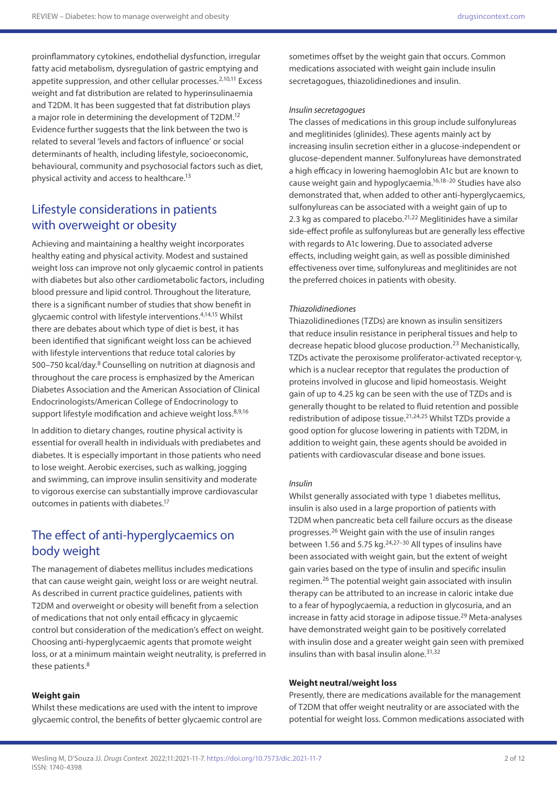proinflammatory cytokines, endothelial dysfunction, irregular fatty acid metabolism, dysregulation of gastric emptying and appetite suppression, and other cellular processes. $2,10,11$  Excess weight and fat distribution are related to hyperinsulinaemia and T2DM. It has been suggested that fat distribution plays a major role in determining the development of T2DM.<sup>12</sup> Evidence further suggests that the link between the two is related to several 'levels and factors of influence' or social determinants of health, including lifestyle, socioeconomic, behavioural, community and psychosocial factors such as diet, physical activity and access to healthcare.13

# Lifestyle considerations in patients with overweight or obesity

Achieving and maintaining a healthy weight incorporates healthy eating and physical activity. Modest and sustained weight loss can improve not only glycaemic control in patients with diabetes but also other cardiometabolic factors, including blood pressure and lipid control. Throughout the literature, there is a significant number of studies that show benefit in glycaemic control with lifestyle interventions.4,14,15 Whilst there are debates about which type of diet is best, it has been identified that significant weight loss can be achieved with lifestyle interventions that reduce total calories by 500–750 kcal/day.8 Counselling on nutrition at diagnosis and throughout the care process is emphasized by the American Diabetes Association and the American Association of Clinical Endocrinologists/American College of Endocrinology to support lifestyle modification and achieve weight loss.<sup>8,9,16</sup>

In addition to dietary changes, routine physical activity is essential for overall health in individuals with prediabetes and diabetes. It is especially important in those patients who need to lose weight. Aerobic exercises, such as walking, jogging and swimming, can improve insulin sensitivity and moderate to vigorous exercise can substantially improve cardiovascular outcomes in patients with diabetes.17

## The effect of anti-hyperglycaemics on body weight

The management of diabetes mellitus includes medications that can cause weight gain, weight loss or are weight neutral. As described in current practice guidelines, patients with T2DM and overweight or obesity will benefit from a selection of medications that not only entail efficacy in glycaemic control but consideration of the medication's effect on weight. Choosing anti-hyperglycaemic agents that promote weight loss, or at a minimum maintain weight neutrality, is preferred in these patients.<sup>8</sup>

#### **Weight gain**

Whilst these medications are used with the intent to improve glycaemic control, the benefits of better glycaemic control are sometimes offset by the weight gain that occurs. Common medications associated with weight gain include insulin secretagogues, thiazolidinediones and insulin.

#### *Insulin secretagogues*

The classes of medications in this group include sulfonylureas and meglitinides (glinides). These agents mainly act by increasing insulin secretion either in a glucose-independent or glucose-dependent manner. Sulfonylureas have demonstrated a high efficacy in lowering haemoglobin A1c but are known to cause weight gain and hypoglycaemia.16,18–20 Studies have also demonstrated that, when added to other anti-hyperglycaemics, sulfonylureas can be associated with a weight gain of up to 2.3 kg as compared to placebo. $2^{1,22}$  Meglitinides have a similar side-effect profile as sulfonylureas but are generally less effective with regards to A1c lowering. Due to associated adverse effects, including weight gain, as well as possible diminished effectiveness over time, sulfonylureas and meglitinides are not the preferred choices in patients with obesity.

#### *Thiazolidinediones*

Thiazolidinediones (TZDs) are known as insulin sensitizers that reduce insulin resistance in peripheral tissues and help to decrease hepatic blood glucose production.23 Mechanistically, TZDs activate the peroxisome proliferator-activated receptor-γ, which is a nuclear receptor that regulates the production of proteins involved in glucose and lipid homeostasis. Weight gain of up to 4.25 kg can be seen with the use of TZDs and is generally thought to be related to fluid retention and possible redistribution of adipose tissue.21,24,25 Whilst TZDs provide a good option for glucose lowering in patients with T2DM, in addition to weight gain, these agents should be avoided in patients with cardiovascular disease and bone issues.

#### *Insulin*

Whilst generally associated with type 1 diabetes mellitus, insulin is also used in a large proportion of patients with T2DM when pancreatic beta cell failure occurs as the disease progresses.26 Weight gain with the use of insulin ranges between 1.56 and 5.75 kg. $24,27-30$  All types of insulins have been associated with weight gain, but the extent of weight gain varies based on the type of insulin and specific insulin regimen.26 The potential weight gain associated with insulin therapy can be attributed to an increase in caloric intake due to a fear of hypoglycaemia, a reduction in glycosuria, and an increase in fatty acid storage in adipose tissue.<sup>29</sup> Meta-analyses have demonstrated weight gain to be positively correlated with insulin dose and a greater weight gain seen with premixed insulins than with basal insulin alone. $31,32$ 

#### **Weight neutral/weight loss**

Presently, there are medications available for the management of T2DM that offer weight neutrality or are associated with the potential for weight loss. Common medications associated with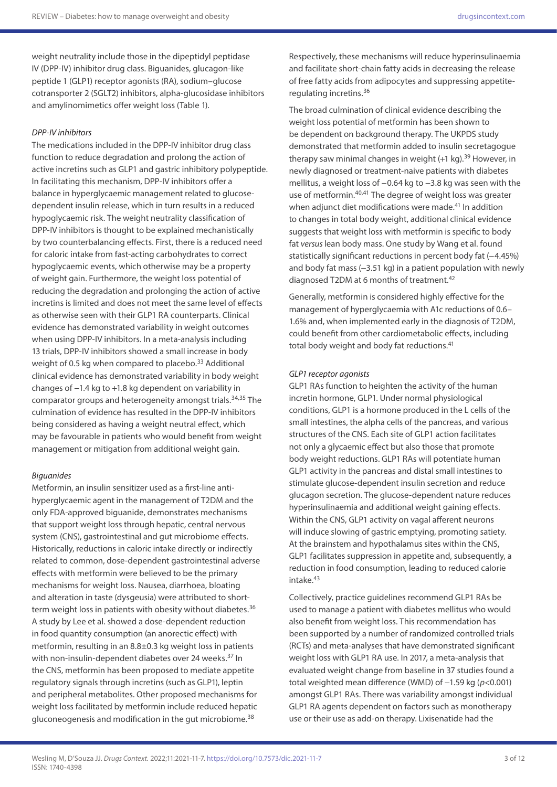weight neutrality include those in the dipeptidyl peptidase IV (DPP-IV) inhibitor drug class. Biguanides, glucagon-like peptide 1 (GLP1) receptor agonists (RA), sodium–glucose cotransporter 2 (SGLT2) inhibitors, alpha-glucosidase inhibitors and amylinomimetics offer weight loss (Table 1).

### *DPP-IV inhibitors*

The medications included in the DPP-IV inhibitor drug class function to reduce degradation and prolong the action of active incretins such as GLP1 and gastric inhibitory polypeptide. In facilitating this mechanism, DPP-IV inhibitors offer a balance in hyperglycaemic management related to glucosedependent insulin release, which in turn results in a reduced hypoglycaemic risk. The weight neutrality classification of DPP-IV inhibitors is thought to be explained mechanistically by two counterbalancing effects. First, there is a reduced need for caloric intake from fast-acting carbohydrates to correct hypoglycaemic events, which otherwise may be a property of weight gain. Furthermore, the weight loss potential of reducing the degradation and prolonging the action of active incretins is limited and does not meet the same level of effects as otherwise seen with their GLP1 RA counterparts. Clinical evidence has demonstrated variability in weight outcomes when using DPP-IV inhibitors. In a meta-analysis including 13 trials, DPP-IV inhibitors showed a small increase in body weight of 0.5 kg when compared to placebo.<sup>33</sup> Additional clinical evidence has demonstrated variability in body weight changes of −1.4 kg to +1.8 kg dependent on variability in comparator groups and heterogeneity amongst trials.<sup>34,35</sup> The culmination of evidence has resulted in the DPP-IV inhibitors being considered as having a weight neutral effect, which may be favourable in patients who would benefit from weight management or mitigation from additional weight gain.

### *Biguanides*

Metformin, an insulin sensitizer used as a first-line antihyperglycaemic agent in the management of T2DM and the only FDA-approved biguanide, demonstrates mechanisms that support weight loss through hepatic, central nervous system (CNS), gastrointestinal and gut microbiome effects. Historically, reductions in caloric intake directly or indirectly related to common, dose-dependent gastrointestinal adverse effects with metformin were believed to be the primary mechanisms for weight loss. Nausea, diarrhoea, bloating and alteration in taste (dysgeusia) were attributed to shortterm weight loss in patients with obesity without diabetes.<sup>36</sup> A study by Lee et al. showed a dose-dependent reduction in food quantity consumption (an anorectic effect) with metformin, resulting in an 8.8±0.3 kg weight loss in patients with non-insulin-dependent diabetes over 24 weeks.<sup>37</sup> In the CNS, metformin has been proposed to mediate appetite regulatory signals through incretins (such as GLP1), leptin and peripheral metabolites. Other proposed mechanisms for weight loss facilitated by metformin include reduced hepatic gluconeogenesis and modification in the gut microbiome.<sup>38</sup>

Respectively, these mechanisms will reduce hyperinsulinaemia and facilitate short-chain fatty acids in decreasing the release of free fatty acids from adipocytes and suppressing appetiteregulating incretins.36

The broad culmination of clinical evidence describing the weight loss potential of metformin has been shown to be dependent on background therapy. The UKPDS study demonstrated that metformin added to insulin secretagogue therapy saw minimal changes in weight  $(+1 \text{ kg})$ .<sup>39</sup> However, in newly diagnosed or treatment-naive patients with diabetes mellitus, a weight loss of −0.64 kg to −3.8 kg was seen with the use of metformin.<sup>40,41</sup> The degree of weight loss was greater when adjunct diet modifications were made.<sup>41</sup> In addition to changes in total body weight, additional clinical evidence suggests that weight loss with metformin is specific to body fat *versus* lean body mass. One study by Wang et al. found statistically significant reductions in percent body fat (-4.45%) and body fat mass (-3.51 kg) in a patient population with newly diagnosed T2DM at 6 months of treatment.<sup>42</sup>

Generally, metformin is considered highly effective for the management of hyperglycaemia with A1c reductions of 0.6– 1.6% and, when implemented early in the diagnosis of T2DM, could benefit from other cardiometabolic effects, including total body weight and body fat reductions.<sup>41</sup>

#### *GLP1 receptor agonists*

GLP1 RAs function to heighten the activity of the human incretin hormone, GLP1. Under normal physiological conditions, GLP1 is a hormone produced in the L cells of the small intestines, the alpha cells of the pancreas, and various structures of the CNS. Each site of GLP1 action facilitates not only a glycaemic effect but also those that promote body weight reductions. GLP1 RAs will potentiate human GLP1 activity in the pancreas and distal small intestines to stimulate glucose-dependent insulin secretion and reduce glucagon secretion. The glucose-dependent nature reduces hyperinsulinaemia and additional weight gaining effects. Within the CNS, GLP1 activity on vagal afferent neurons will induce slowing of gastric emptying, promoting satiety. At the brainstem and hypothalamus sites within the CNS, GLP1 facilitates suppression in appetite and, subsequently, a reduction in food consumption, leading to reduced calorie  $intake<sup>43</sup>$ 

Collectively, practice guidelines recommend GLP1 RAs be used to manage a patient with diabetes mellitus who would also benefit from weight loss. This recommendation has been supported by a number of randomized controlled trials (RCTs) and meta-analyses that have demonstrated significant weight loss with GLP1 RA use. In 2017, a meta-analysis that evaluated weight change from baseline in 37 studies found a total weighted mean difference (WMD) of −1.59 kg (*p*<0.001) amongst GLP1 RAs. There was variability amongst individual GLP1 RA agents dependent on factors such as monotherapy use or their use as add-on therapy. Lixisenatide had the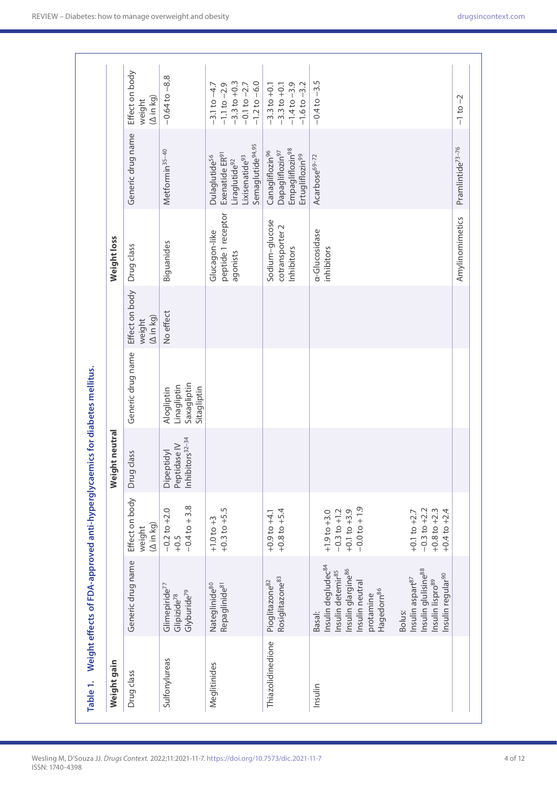| Weight gain       |                                                                                                                                                                       |                                                                              | Weight neutral                                                   |                                                         |                                       | Weight loss                                     |                                                                                                                                                    |                                                                                                  |
|-------------------|-----------------------------------------------------------------------------------------------------------------------------------------------------------------------|------------------------------------------------------------------------------|------------------------------------------------------------------|---------------------------------------------------------|---------------------------------------|-------------------------------------------------|----------------------------------------------------------------------------------------------------------------------------------------------------|--------------------------------------------------------------------------------------------------|
| Drug class        | Generic drug name                                                                                                                                                     | Effect on body<br>$(\Delta$ in kg)<br>weight                                 | Drug class                                                       | Generic drug name                                       | Effect on body<br>(A in kg)<br>weight | Drug class                                      | Generic drug name                                                                                                                                  | Effect on body<br>$(\Delta$ in kg)<br>weight                                                     |
| Sulfonylureas     | Glimepiride <sup>77</sup><br>Glyburide <sup>79</sup><br>Glipizide <sup>78</sup>                                                                                       | $-0.4$ to $+3.8$<br>$-0.2$ to $+2.0$<br>+0.5                                 | Inhibitors <sup>32-34</sup><br>Peptidase IV<br><b>Dipeptidyl</b> | Saxagliptin<br>Linagliptin<br>Sitagliptin<br>Alogliptin | No effect                             | Biguanides                                      | Metformin <sup>35-40</sup>                                                                                                                         | $-0.64$ to $-8.8$                                                                                |
| Meglitinides      | Repaglinide <sup>81</sup><br>Nateglinide <sup>80</sup>                                                                                                                | $+0.3$ to $+5.5$<br>$+1.0$ to $+3$                                           |                                                                  |                                                         |                                       | peptide 1 receptor<br>Glucagon-like<br>agonists | Semaglutide <sup>94,95</sup><br>Exenatide ER <sup>91</sup><br>Dulaglutide <sup>56</sup><br>Lixisenatide <sup>93</sup><br>Liraglutide <sup>92</sup> | $-3.3$ to $+0.3$<br>$-1.2$ to $-6.0$<br>$-3.1$ to $-4.7$<br>$-0.1$ to $-2.7$<br>$-1.1$ to $-2.9$ |
| Thiazolidinedione | Rosiglitazone <sup>83</sup><br>Pioglitazone <sup>82</sup>                                                                                                             | $+0.8$ to $+5.4$<br>$+0.9$ to $+4.1$                                         |                                                                  |                                                         |                                       | Sodium-glucose<br>cotransporter 2<br>Inhibitors | Empagliflozin <sup>98</sup><br>Dapagliflozin <sup>97</sup><br>Canagliflozin <sup>96</sup><br>Ertugliflozin <sup>99</sup>                           | $-1.4$ to $-3.9$<br>$-1.6$ to $-3.2$<br>$-3.3$ to $+0.1$<br>$-3.3$ to $+0.1$                     |
| Insulin           | Insulin degludec <sup>84</sup><br>Insulin glargine <sup>86</sup><br>Insulin detemir <sup>85</sup><br>Insulin neutral<br>Hagedorn <sup>86</sup><br>protamine<br>Basal: | $-0.0$ to $+1.9$<br>$+0.1$ to $+3.9$<br>$+1.9$ to $+3.0$<br>$-0.3$ to $+1.2$ |                                                                  |                                                         |                                       | a-Glucosidase<br>inhibitors                     | Acarbose <sup>69-72</sup>                                                                                                                          | $-0.4$ to $-3.5$                                                                                 |
|                   | Insulin glulisine <sup>88</sup><br>Insulin regular <sup>90</sup><br>Insulin aspart87<br>Insulin lispro <sup>89</sup><br>Bolus:                                        | $+0.8$ to $+2.3$<br>$+0.4$ to $+2.4$<br>$-0.3$ to $+2.2$<br>$+0.1$ to $+2.7$ |                                                                  |                                                         |                                       |                                                 |                                                                                                                                                    |                                                                                                  |
|                   |                                                                                                                                                                       |                                                                              |                                                                  |                                                         |                                       | Amylinomimetics                                 | Pramlintide <sup>73-76</sup>                                                                                                                       | $-1$ to $-2$                                                                                     |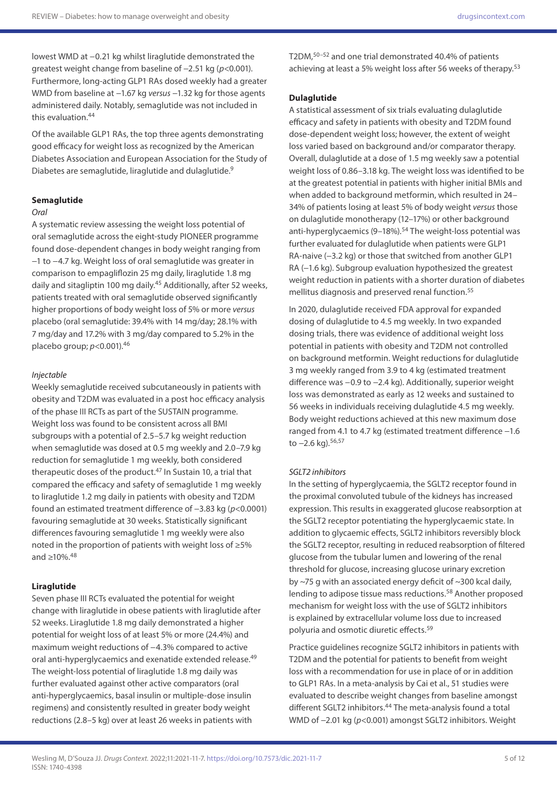lowest WMD at −0.21 kg whilst liraglutide demonstrated the greatest weight change from baseline of −2.51 kg (*p*<0.001). Furthermore, long-acting GLP1 RAs dosed weekly had a greater WMD from baseline at −1.67 kg *versus* −1.32 kg for those agents administered daily. Notably, semaglutide was not included in this evaluation.<sup>44</sup>

Of the available GLP1 RAs, the top three agents demonstrating good efficacy for weight loss as recognized by the American Diabetes Association and European Association for the Study of Diabetes are semaglutide, liraglutide and dulaglutide.<sup>9</sup>

### **Semaglutide**

#### *Oral*

A systematic review assessing the weight loss potential of oral semaglutide across the eight-study PIONEER programme found dose-dependent changes in body weight ranging from −1 to −4.7 kg. Weight loss of oral semaglutide was greater in comparison to empagliflozin 25 mg daily, liraglutide 1.8 mg daily and sitagliptin 100 mg daily.<sup>45</sup> Additionally, after 52 weeks, patients treated with oral semaglutide observed significantly higher proportions of body weight loss of 5% or more *versus* placebo (oral semaglutide: 39.4% with 14 mg/day; 28.1% with 7 mg/day and 17.2% with 3 mg/day compared to 5.2% in the placebo group; *p*<0.001).46

#### *Injectable*

Weekly semaglutide received subcutaneously in patients with obesity and T2DM was evaluated in a post hoc efficacy analysis of the phase III RCTs as part of the SUSTAIN programme. Weight loss was found to be consistent across all BMI subgroups with a potential of 2.5–5.7 kg weight reduction when semaglutide was dosed at 0.5 mg weekly and 2.0–7.9 kg reduction for semaglutide 1 mg weekly, both considered therapeutic doses of the product.<sup>47</sup> In Sustain 10, a trial that compared the efficacy and safety of semaglutide 1 mg weekly to liraglutide 1.2 mg daily in patients with obesity and T2DM found an estimated treatment difference of −3.83 kg (*p*<0.0001) favouring semaglutide at 30 weeks. Statistically significant differences favouring semaglutide 1 mg weekly were also noted in the proportion of patients with weight loss of ≥5% and ≥10%.48

#### **Liraglutide**

Seven phase III RCTs evaluated the potential for weight change with liraglutide in obese patients with liraglutide after 52 weeks. Liraglutide 1.8 mg daily demonstrated a higher potential for weight loss of at least 5% or more (24.4%) and maximum weight reductions of −4.3% compared to active oral anti-hyperglycaemics and exenatide extended release.<sup>49</sup> The weight-loss potential of liraglutide 1.8 mg daily was further evaluated against other active comparators (oral anti-hyperglycaemics, basal insulin or multiple-dose insulin regimens) and consistently resulted in greater body weight reductions (2.8–5 kg) over at least 26 weeks in patients with

T2DM,50–52 and one trial demonstrated 40.4% of patients achieving at least a 5% weight loss after 56 weeks of therapy.<sup>53</sup>

#### **Dulaglutide**

A statistical assessment of six trials evaluating dulaglutide efficacy and safety in patients with obesity and T2DM found dose-dependent weight loss; however, the extent of weight loss varied based on background and/or comparator therapy. Overall, dulaglutide at a dose of 1.5 mg weekly saw a potential weight loss of 0.86–3.18 kg. The weight loss was identified to be at the greatest potential in patients with higher initial BMIs and when added to background metformin, which resulted in 24– 34% of patients losing at least 5% of body weight *versus* those on dulaglutide monotherapy (12–17%) or other background anti-hyperglycaemics (9-18%).<sup>54</sup> The weight-loss potential was further evaluated for dulaglutide when patients were GLP1 RA-naive (-3.2 kg) or those that switched from another GLP1 RA (-1.6 kg). Subgroup evaluation hypothesized the greatest weight reduction in patients with a shorter duration of diabetes mellitus diagnosis and preserved renal function.<sup>55</sup>

In 2020, dulaglutide received FDA approval for expanded dosing of dulaglutide to 4.5 mg weekly. In two expanded dosing trials, there was evidence of additional weight loss potential in patients with obesity and T2DM not controlled on background metformin. Weight reductions for dulaglutide 3 mg weekly ranged from 3.9 to 4 kg (estimated treatment difference was −0.9 to −2.4 kg). Additionally, superior weight loss was demonstrated as early as 12 weeks and sustained to 56 weeks in individuals receiving dulaglutide 4.5 mg weekly. Body weight reductions achieved at this new maximum dose ranged from 4.1 to 4.7 kg (estimated treatment difference −1.6 to  $-2.6$  kg).<sup>56,57</sup>

#### *SGLT2 inhibitors*

In the setting of hyperglycaemia, the SGLT2 receptor found in the proximal convoluted tubule of the kidneys has increased expression. This results in exaggerated glucose reabsorption at the SGLT2 receptor potentiating the hyperglycaemic state. In addition to glycaemic effects, SGLT2 inhibitors reversibly block the SGLT2 receptor, resulting in reduced reabsorption of filtered glucose from the tubular lumen and lowering of the renal threshold for glucose, increasing glucose urinary excretion by ~75 g with an associated energy deficit of ~300 kcal daily, lending to adipose tissue mass reductions.<sup>58</sup> Another proposed mechanism for weight loss with the use of SGLT2 inhibitors is explained by extracellular volume loss due to increased polyuria and osmotic diuretic effects.59

Practice guidelines recognize SGLT2 inhibitors in patients with T2DM and the potential for patients to benefit from weight loss with a recommendation for use in place of or in addition to GLP1 RAs. In a meta-analysis by Cai et al., 51 studies were evaluated to describe weight changes from baseline amongst different SGLT2 inhibitors.<sup>44</sup> The meta-analysis found a total WMD of −2.01 kg (*p*<0.001) amongst SGLT2 inhibitors. Weight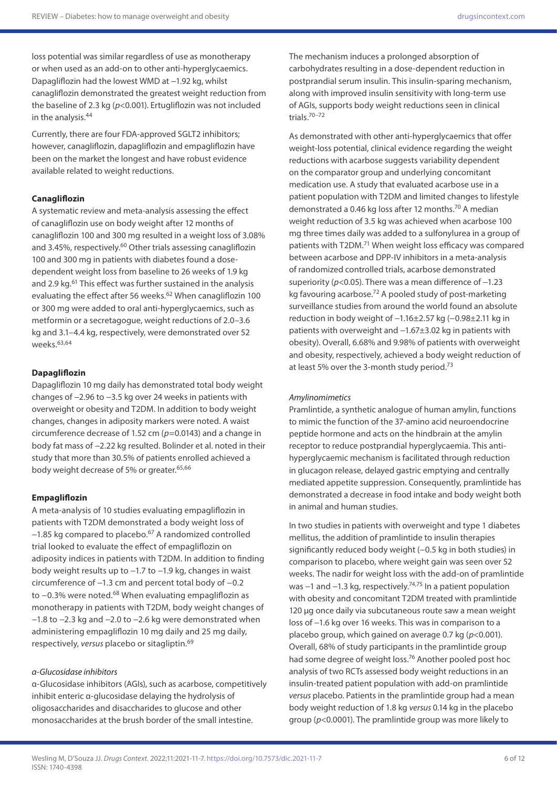loss potential was similar regardless of use as monotherapy or when used as an add-on to other anti-hyperglycaemics. Dapagliflozin had the lowest WMD at −1.92 kg, whilst canagliflozin demonstrated the greatest weight reduction from the baseline of 2.3 kg (*p*<0.001). Ertugliflozin was not included in the analysis.44

Currently, there are four FDA-approved SGLT2 inhibitors; however, canagliflozin, dapagliflozin and empagliflozin have been on the market the longest and have robust evidence available related to weight reductions.

#### **Canagliflozin**

A systematic review and meta-analysis assessing the effect of canagliflozin use on body weight after 12 months of canagliflozin 100 and 300 mg resulted in a weight loss of 3.08% and 3.45%, respectively.<sup>60</sup> Other trials assessing canagliflozin 100 and 300 mg in patients with diabetes found a dosedependent weight loss from baseline to 26 weeks of 1.9 kg and 2.9 kg.<sup>61</sup> This effect was further sustained in the analysis evaluating the effect after 56 weeks.<sup>62</sup> When canagliflozin 100 or 300 mg were added to oral anti-hyperglycaemics, such as metformin or a secretagogue, weight reductions of 2.0–3.6 kg and 3.1–4.4 kg, respectively, were demonstrated over 52 weeks.63,64

#### **Dapagliflozin**

Dapagliflozin 10 mg daily has demonstrated total body weight changes of −2.96 to −3.5 kg over 24 weeks in patients with overweight or obesity and T2DM. In addition to body weight changes, changes in adiposity markers were noted. A waist circumference decrease of 1.52 cm (*p*=0.0143) and a change in body fat mass of −2.22 kg resulted. Bolinder et al. noted in their study that more than 30.5% of patients enrolled achieved a body weight decrease of 5% or greater.<sup>65,66</sup>

#### **Empagliflozin**

A meta-analysis of 10 studies evaluating empagliflozin in patients with T2DM demonstrated a body weight loss of −1.85 kg compared to placebo.67 A randomized controlled trial looked to evaluate the effect of empagliflozin on adiposity indices in patients with T2DM. In addition to finding body weight results up to −1.7 to −1.9 kg, changes in waist circumference of −1.3 cm and percent total body of −0.2 to −0.3% were noted.<sup>68</sup> When evaluating empagliflozin as monotherapy in patients with T2DM, body weight changes of −1.8 to −2.3 kg and −2.0 to −2.6 kg were demonstrated when administering empagliflozin 10 mg daily and 25 mg daily, respectively, *versus* placebo or sitagliptin.69

#### *α-Glucosidase inhibitors*

α-Glucosidase inhibitors (AGIs), such as acarbose, competitively inhibit enteric α-glucosidase delaying the hydrolysis of oligosaccharides and disaccharides to glucose and other monosaccharides at the brush border of the small intestine.

The mechanism induces a prolonged absorption of carbohydrates resulting in a dose-dependent reduction in postprandial serum insulin. This insulin-sparing mechanism, along with improved insulin sensitivity with long-term use of AGIs, supports body weight reductions seen in clinical trials.70–72

As demonstrated with other anti-hyperglycaemics that offer weight-loss potential, clinical evidence regarding the weight reductions with acarbose suggests variability dependent on the comparator group and underlying concomitant medication use. A study that evaluated acarbose use in a patient population with T2DM and limited changes to lifestyle demonstrated a 0.46 kg loss after 12 months.<sup>70</sup> A median weight reduction of 3.5 kg was achieved when acarbose 100 mg three times daily was added to a sulfonylurea in a group of patients with T2DM.<sup>71</sup> When weight loss efficacy was compared between acarbose and DPP-IV inhibitors in a meta-analysis of randomized controlled trials, acarbose demonstrated superiority (*p*<0.05). There was a mean difference of −1.23 kg favouring acarbose.72 A pooled study of post-marketing surveillance studies from around the world found an absolute reduction in body weight of −1.16±2.57 kg (−0.98±2.11 kg in patients with overweight and −1.67±3.02 kg in patients with obesity). Overall, 6.68% and 9.98% of patients with overweight and obesity, respectively, achieved a body weight reduction of at least 5% over the 3-month study period.73

#### *Amylinomimetics*

Pramlintide, a synthetic analogue of human amylin, functions to mimic the function of the 37-amino acid neuroendocrine peptide hormone and acts on the hindbrain at the amylin receptor to reduce postprandial hyperglycaemia. This antihyperglycaemic mechanism is facilitated through reduction in glucagon release, delayed gastric emptying and centrally mediated appetite suppression. Consequently, pramlintide has demonstrated a decrease in food intake and body weight both in animal and human studies.

In two studies in patients with overweight and type 1 diabetes mellitus, the addition of pramlintide to insulin therapies significantly reduced body weight (−0.5 kg in both studies) in comparison to placebo, where weight gain was seen over 52 weeks. The nadir for weight loss with the add-on of pramlintide was −1 and −1.3 kg, respectively.<sup>74,75</sup> In a patient population with obesity and concomitant T2DM treated with pramlintide 120 μg once daily via subcutaneous route saw a mean weight loss of −1.6 kg over 16 weeks. This was in comparison to a placebo group, which gained on average 0.7 kg (*p*<0.001). Overall, 68% of study participants in the pramlintide group had some degree of weight loss.<sup>76</sup> Another pooled post hoc analysis of two RCTs assessed body weight reductions in an insulin-treated patient population with add-on pramlintide *versus* placebo. Patients in the pramlintide group had a mean body weight reduction of 1.8 kg *versus* 0.14 kg in the placebo group (*p*<0.0001). The pramlintide group was more likely to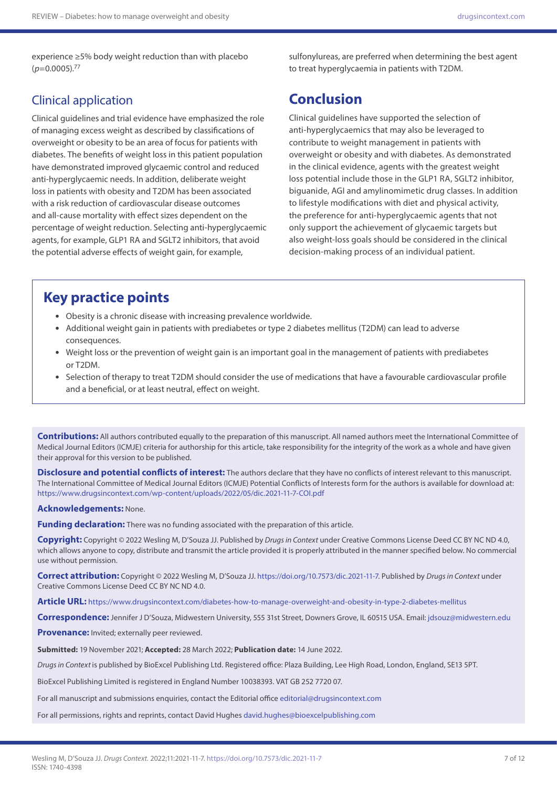experience ≥5% body weight reduction than with placebo  $(p=0.0005)$ <sup>77</sup>

## Clinical application

Clinical guidelines and trial evidence have emphasized the role of managing excess weight as described by classifications of overweight or obesity to be an area of focus for patients with diabetes. The benefits of weight loss in this patient population have demonstrated improved glycaemic control and reduced anti-hyperglycaemic needs. In addition, deliberate weight loss in patients with obesity and T2DM has been associated with a risk reduction of cardiovascular disease outcomes and all-cause mortality with effect sizes dependent on the percentage of weight reduction. Selecting anti-hyperglycaemic agents, for example, GLP1 RA and SGLT2 inhibitors, that avoid the potential adverse effects of weight gain, for example,

sulfonylureas, are preferred when determining the best agent to treat hyperglycaemia in patients with T2DM.

# **Conclusion**

Clinical guidelines have supported the selection of anti-hyperglycaemics that may also be leveraged to contribute to weight management in patients with overweight or obesity and with diabetes. As demonstrated in the clinical evidence, agents with the greatest weight loss potential include those in the GLP1 RA, SGLT2 inhibitor, biguanide, AGI and amylinomimetic drug classes. In addition to lifestyle modifications with diet and physical activity, the preference for anti-hyperglycaemic agents that not only support the achievement of glycaemic targets but also weight-loss goals should be considered in the clinical decision-making process of an individual patient.

# **Key practice points**

- Obesity is a chronic disease with increasing prevalence worldwide.
- Additional weight gain in patients with prediabetes or type 2 diabetes mellitus (T2DM) can lead to adverse consequences.
- Weight loss or the prevention of weight gain is an important goal in the management of patients with prediabetes or T2DM.
- Selection of therapy to treat T2DM should consider the use of medications that have a favourable cardiovascular profile and a beneficial, or at least neutral, effect on weight.

**Contributions:** All authors contributed equally to the preparation of this manuscript. All named authors meet the International Committee of Medical Journal Editors (ICMJE) criteria for authorship for this article, take responsibility for the integrity of the work as a whole and have given their approval for this version to be published.

**Disclosure and potential conflicts of interest:** The authors declare that they have no conflicts of interest relevant to this manuscript. The International Committee of Medical Journal Editors (ICMJE) Potential Conflicts of Interests form for the authors is available for download at: <https://www.drugsincontext.com/wp-content/uploads/2022/05/dic.2021-11-7-COI.pdf>

#### **Acknowledgements:** None.

**Funding declaration:** There was no funding associated with the preparation of this article.

**Copyright:** Copyright © 2022 Wesling M, D'Souza JJ. Published by *Drugs in Context* under Creative Commons License Deed CC BY NC ND 4.0, which allows anyone to copy, distribute and transmit the article provided it is properly attributed in the manner specified below. No commercial use without permission.

**Correct attribution:** Copyright © 2022 Wesling M, D'Souza JJ.<https://doi.org/10.7573/dic.2021-11-7>. Published by *Drugs in Context* under Creative Commons License Deed CC BY NC ND 4.0.

**Article URL:** <https://www.drugsincontext.com/diabetes-how-to-manage-overweight-and-obesity-in-type-2-diabetes-mellitus>

**Correspondence:** Jennifer J D'Souza, Midwestern University, 555 31st Street, Downers Grove, IL 60515 USA. Email: [jdsouz@midwestern.edu](mailto:jdsouz@midwestern.edu)

**Provenance:** Invited; externally peer reviewed.

**Submitted:** 19 November 2021; **Accepted:** 28 March 2022; **Publication date:** 14 June 2022.

*Drugs in Context* is published by BioExcel Publishing Ltd. Registered office: Plaza Building, Lee High Road, London, England, SE13 5PT.

BioExcel Publishing Limited is registered in England Number 10038393. VAT GB 252 7720 07.

For all manuscript and submissions enquiries, contact the Editorial office [editorial@drugsincontext.com](mailto:editorial@drugsincontext.com)

For all permissions, rights and reprints, contact David Hughes [david.hughes@bioexcelpublishing.com](mailto:david.hughes@bioexcelpublishing.com)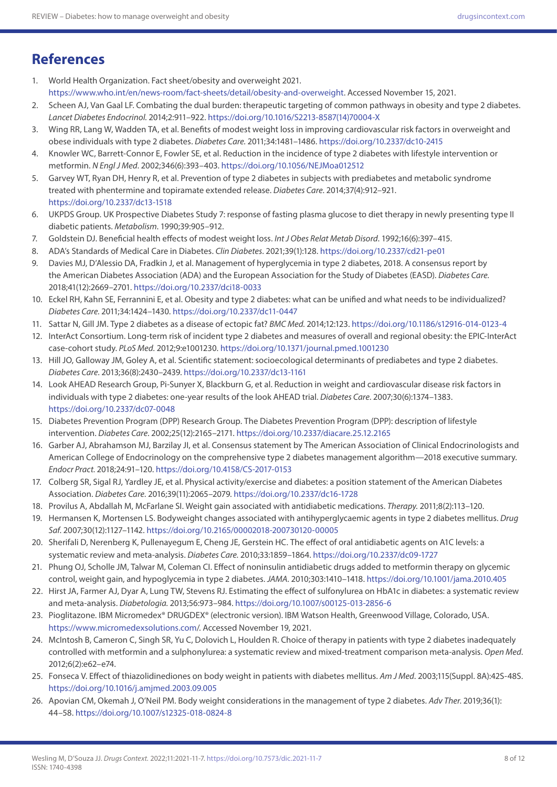# **References**

- 1. World Health Organization. Fact sheet/obesity and overweight 2021. [https://www.who.int/en/news-room/fact-sheets/detail/obesity-and-overweight.](https://www.who.int/en/news-room/fact-sheets/detail/obesity-and-overweight) Accessed November 15, 2021.
- 2. Scheen AJ, Van Gaal LF. Combating the dual burden: therapeutic targeting of common pathways in obesity and type 2 diabetes. *Lancet Diabetes Endocrinol.* 2014;2:911–922. [https://doi.org/10.1016/S2213-8587\(14\)70004-X](https://doi.org/10.1016/S2213-8587(14)70004-X)
- 3. Wing RR, Lang W, Wadden TA, et al. Benefits of modest weight loss in improving cardiovascular risk factors in overweight and obese individuals with type 2 diabetes. *Diabetes Care.* 2011;34:1481–1486.<https://doi.org/10.2337/dc10-2415>
- 4. Knowler WC, Barrett-Connor E, Fowler SE, et al. Reduction in the incidence of type 2 diabetes with lifestyle intervention or metformin. *N Engl J Med*. 2002;346(6):393–403. <https://doi.org/10.1056/NEJMoa012512>
- 5. Garvey WT, Ryan DH, Henry R, et al. Prevention of type 2 diabetes in subjects with prediabetes and metabolic syndrome treated with phentermine and topiramate extended release. *Diabetes Care*. 2014;37(4):912–921. <https://doi.org/10.2337/dc13-1518>
- 6. UKPDS Group. UK Prospective Diabetes Study 7: response of fasting plasma glucose to diet therapy in newly presenting type II diabetic patients. *Metabolism*. 1990;39:905–912.
- 7. Goldstein DJ. Beneficial health effects of modest weight loss. *Int J Obes Relat Metab Disord*. 1992;16(6):397–415.
- 8. ADA's Standards of Medical Care in Diabetes. *Clin Diabetes*. 2021;39(1):128.<https://doi.org/10.2337/cd21-pe01>
- 9. Davies MJ, D'Alessio DA, Fradkin J, et al. Management of hyperglycemia in type 2 diabetes, 2018. A consensus report by the American Diabetes Association (ADA) and the European Association for the Study of Diabetes (EASD). *Diabetes Care.*  2018;41(12):2669–2701.<https://doi.org/10.2337/dci18-0033>
- 10. Eckel RH, Kahn SE, Ferrannini E, et al. Obesity and type 2 diabetes: what can be unified and what needs to be individualized? *Diabetes Care.* 2011;34:1424–1430. <https://doi.org/10.2337/dc11-0447>
- 11. Sattar N, Gill JM. Type 2 diabetes as a disease of ectopic fat? *BMC Med.* 2014;12:123.<https://doi.org/10.1186/s12916-014-0123-4>
- 12. InterAct Consortium. Long-term risk of incident type 2 diabetes and measures of overall and regional obesity: the EPIC-InterAct case-cohort study. *PLoS Med.* 2012;9:e1001230. <https://doi.org/10.1371/journal.pmed.1001230>
- 13. Hill JO, Galloway JM, Goley A, et al. Scientific statement: socioecological determinants of prediabetes and type 2 diabetes. *Diabetes Care*. 2013;36(8):2430–2439. <https://doi.org/10.2337/dc13-1161>
- 14. Look AHEAD Research Group, Pi-Sunyer X, Blackburn G, et al. Reduction in weight and cardiovascular disease risk factors in individuals with type 2 diabetes: one-year results of the look AHEAD trial. *Diabetes Care*. 2007;30(6):1374–1383. <https://doi.org/10.2337/dc07-0048>
- 15. Diabetes Prevention Program (DPP) Research Group. The Diabetes Prevention Program (DPP): description of lifestyle intervention. *Diabetes Care*. 2002;25(12):2165–2171. <https://doi.org/10.2337/diacare.25.12.2165>
- 16. Garber AJ, Abrahamson MJ, Barzilay JI, et al. Consensus statement by The American Association of Clinical Endocrinologists and American College of Endocrinology on the comprehensive type 2 diabetes management algorithm—2018 executive summary. *Endocr Pract.* 2018;24:91–120. <https://doi.org/10.4158/CS-2017-0153>
- 17. Colberg SR, Sigal RJ, Yardley JE, et al. Physical activity/exercise and diabetes: a position statement of the American Diabetes Association. *Diabetes Care*. 2016;39(11):2065–2079. <https://doi.org/10.2337/dc16-1728>
- 18. Provilus A, Abdallah M, McFarlane SI. Weight gain associated with antidiabetic medications. *Therapy.* 2011;8(2):113–120.
- 19. Hermansen K, Mortensen LS. Bodyweight changes associated with antihyperglycaemic agents in type 2 diabetes mellitus. *Drug Saf*. 2007;30(12):1127–1142. <https://doi.org/10.2165/00002018-200730120-00005>
- 20. Sherifali D, Nerenberg K, Pullenayegum E, Cheng JE, Gerstein HC. The effect of oral antidiabetic agents on A1C levels: a systematic review and meta-analysis. *Diabetes Care.* 2010;33:1859–1864. <https://doi.org/10.2337/dc09-1727>
- 21. Phung OJ, Scholle JM, Talwar M, Coleman CI. Effect of noninsulin antidiabetic drugs added to metformin therapy on glycemic control, weight gain, and hypoglycemia in type 2 diabetes. *JAMA.* 2010;303:1410–1418.<https://doi.org/10.1001/jama.2010.405>
- 22. Hirst JA, Farmer AJ, Dyar A, Lung TW, Stevens RJ. Estimating the effect of sulfonylurea on HbA1c in diabetes: a systematic review and meta-analysis. *Diabetologia.* 2013;56:973–984. <https://doi.org/10.1007/s00125-013-2856-6>
- 23. Pioglitazone. IBM Micromedex® DRUGDEX® (electronic version). IBM Watson Health, Greenwood Village, Colorado, USA. <https://www.micromedexsolutions.com>/. Accessed November 19, 2021.
- 24. McIntosh B, Cameron C, Singh SR, Yu C, Dolovich L, Houlden R. Choice of therapy in patients with type 2 diabetes inadequately controlled with metformin and a sulphonylurea: a systematic review and mixed-treatment comparison meta-analysis. *Open Med*. 2012;6(2):e62–e74.
- 25. Fonseca V. Effect of thiazolidinediones on body weight in patients with diabetes mellitus. *Am J Med*. 2003;115(Suppl. 8A):42S-48S. <https://doi.org/10.1016/j.amjmed.2003.09.005>
- 26. Apovian CM, Okemah J, O'Neil PM. Body weight considerations in the management of type 2 diabetes. *Adv Ther*. 2019;36(1): 44–58. <https://doi.org/10.1007/s12325-018-0824-8>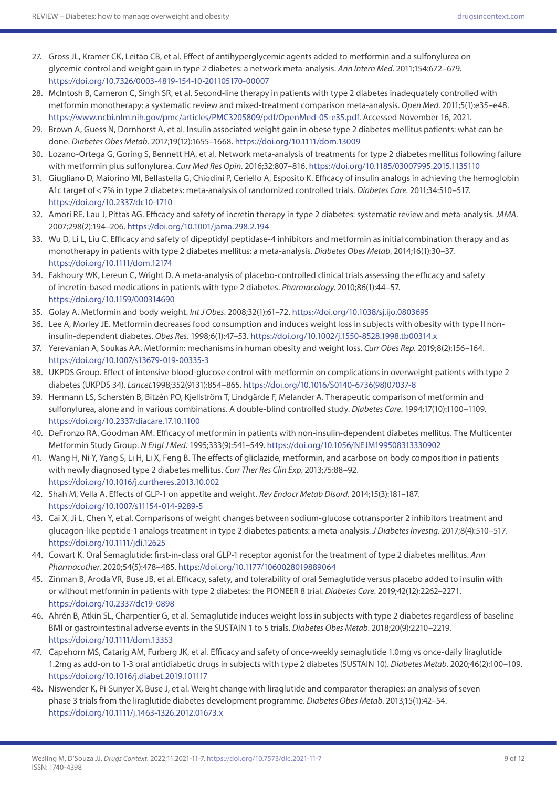- 27. Gross JL, Kramer CK, Leitão CB, et al. Effect of antihyperglycemic agents added to metformin and a sulfonylurea on glycemic control and weight gain in type 2 diabetes: a network meta-analysis. *Ann Intern Med.* 2011;154:672–679. <https://doi.org/10.7326/0003-4819-154-10-201105170-00007>
- 28. McIntosh B, Cameron C, Singh SR, et al. Second-line therapy in patients with type 2 diabetes inadequately controlled with metformin monotherapy: a systematic review and mixed-treatment comparison meta-analysis. *Open Med*. 2011;5(1):e35–e48. <https://www.ncbi.nlm.nih.gov/pmc/articles/PMC3205809/pdf/OpenMed-05-e35.pdf>. Accessed November 16, 2021.
- 29. Brown A, Guess N, Dornhorst A, et al. Insulin associated weight gain in obese type 2 diabetes mellitus patients: what can be done. *Diabetes Obes Metab*. 2017;19(12):1655–1668.<https://doi.org/10.1111/dom.13009>
- 30. Lozano-Ortega G, Goring S, Bennett HA, et al. Network meta-analysis of treatments for type 2 diabetes mellitus following failure with metformin plus sulfonylurea. *Curr Med Res Opin.* 2016;32:807–816.<https://doi.org/10.1185/03007995.2015.1135110>
- 31. Giugliano D, Maiorino MI, Bellastella G, Chiodini P, Ceriello A, Esposito K. Efficacy of insulin analogs in achieving the hemoglobin A1c target of<7% in type 2 diabetes: meta-analysis of randomized controlled trials. *Diabetes Care.* 2011;34:510–517. <https://doi.org/10.2337/dc10-1710>
- 32. Amori RE, Lau J, Pittas AG. Efficacy and safety of incretin therapy in type 2 diabetes: systematic review and meta-analysis. *JAMA.* 2007;298(2):194–206.<https://doi.org/10.1001/jama.298.2.194>
- 33. Wu D, Li L, Liu C. Efficacy and safety of dipeptidyl peptidase-4 inhibitors and metformin as initial combination therapy and as monotherapy in patients with type 2 diabetes mellitus: a meta-analysis. *Diabetes Obes Metab*. 2014;16(1):30–37. <https://doi.org/10.1111/dom.12174>
- 34. Fakhoury WK, Lereun C, Wright D. A meta-analysis of placebo-controlled clinical trials assessing the efficacy and safety of incretin-based medications in patients with type 2 diabetes. *Pharmacology*. 2010;86(1):44–57. <https://doi.org/10.1159/000314690>
- 35. Golay A. Metformin and body weight. *Int J Obes*. 2008;32(1):61–72.<https://doi.org/10.1038/sj.ijo.0803695>
- 36. Lee A, Morley JE. Metformin decreases food consumption and induces weight loss in subjects with obesity with type II noninsulin-dependent diabetes. *Obes Res*. 1998;6(1):47–53. <https://doi.org/10.1002/j.1550-8528.1998.tb00314.x>
- 37. Yerevanian A, Soukas AA. Metformin: mechanisms in human obesity and weight loss. *Curr Obes Rep*. 2019;8(2):156–164. <https://doi.org/10.1007/s13679-019-00335-3>
- 38. UKPDS Group. Effect of intensive blood-glucose control with metformin on complications in overweight patients with type 2 diabetes (UKPDS 34). *Lancet.*1998;352(9131):854–865. [https://doi.org/10.1016/S0140-6736\(98\)07037-8](https://doi.org/10.1016/S0140-6736(98)07037-8)
- 39. Hermann LS, Scherstén B, Bitzén PO, Kjellström T, Lindgärde F, Melander A. Therapeutic comparison of metformin and sulfonylurea, alone and in various combinations. A double-blind controlled study. *Diabetes Care*. 1994;17(10):1100–1109. <https://doi.org/10.2337/diacare.17.10.1100>
- 40. DeFronzo RA, Goodman AM. Efficacy of metformin in patients with non-insulin-dependent diabetes mellitus. The Multicenter Metformin Study Group. *N Engl J Med*. 1995;333(9):541–549. <https://doi.org/10.1056/NEJM199508313330902>
- 41. Wang H, Ni Y, Yang S, Li H, Li X, Feng B. The effects of gliclazide, metformin, and acarbose on body composition in patients with newly diagnosed type 2 diabetes mellitus. *Curr Ther Res Clin Exp*. 2013;75:88–92. <https://doi.org/10.1016/j.curtheres.2013.10.002>
- 42. Shah M, Vella A. Effects of GLP-1 on appetite and weight. *Rev Endocr Metab Disord*. 2014;15(3):181–187. <https://doi.org/10.1007/s11154-014-9289-5>
- 43. Cai X, Ji L, Chen Y, et al. Comparisons of weight changes between sodium-glucose cotransporter 2 inhibitors treatment and glucagon-like peptide-1 analogs treatment in type 2 diabetes patients: a meta-analysis. *J Diabetes Investig*. 2017;8(4):510–517. <https://doi.org/10.1111/jdi.12625>
- 44. Cowart K. Oral Semaglutide: first-in-class oral GLP-1 receptor agonist for the treatment of type 2 diabetes mellitus. *Ann Pharmacother*. 2020;54(5):478–485. <https://doi.org/10.1177/1060028019889064>
- 45. Zinman B, Aroda VR, Buse JB, et al. Efficacy, safety, and tolerability of oral Semaglutide versus placebo added to insulin with or without metformin in patients with type 2 diabetes: the PIONEER 8 trial. *Diabetes Care*. 2019;42(12):2262–2271. <https://doi.org/10.2337/dc19-0898>
- 46. Ahrén B, Atkin SL, Charpentier G, et al. Semaglutide induces weight loss in subjects with type 2 diabetes regardless of baseline BMI or gastrointestinal adverse events in the SUSTAIN 1 to 5 trials. *Diabetes Obes Metab*. 2018;20(9):2210–2219. <https://doi.org/10.1111/dom.13353>
- 47. Capehorn MS, Catarig AM, Furberg JK, et al. Efficacy and safety of once-weekly semaglutide 1.0mg vs once-daily liraglutide 1.2mg as add-on to 1-3 oral antidiabetic drugs in subjects with type 2 diabetes (SUSTAIN 10). *Diabetes Metab*. 2020;46(2):100–109. <https://doi.org/10.1016/j.diabet.2019.101117>
- 48. Niswender K, Pi-Sunyer X, Buse J, et al. Weight change with liraglutide and comparator therapies: an analysis of seven phase 3 trials from the liraglutide diabetes development programme. *Diabetes Obes Metab*. 2013;15(1):42–54. <https://doi.org/10.1111/j.1463-1326.2012.01673.x>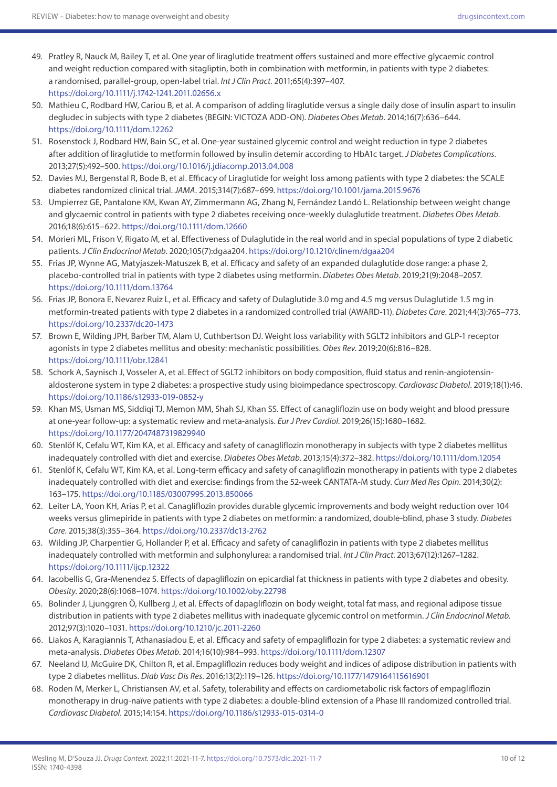- 49. Pratley R, Nauck M, Bailey T, et al. One year of liraglutide treatment offers sustained and more effective glycaemic control and weight reduction compared with sitagliptin, both in combination with metformin, in patients with type 2 diabetes: a randomised, parallel-group, open-label trial. *Int J Clin Pract*. 2011;65(4):397–407. <https://doi.org/10.1111/j.1742-1241.2011.02656.x>
- 50. Mathieu C, Rodbard HW, Cariou B, et al. A comparison of adding liraglutide versus a single daily dose of insulin aspart to insulin degludec in subjects with type 2 diabetes (BEGIN: VICTOZA ADD-ON). *Diabetes Obes Metab*. 2014;16(7):636–644. <https://doi.org/10.1111/dom.12262>
- 51. Rosenstock J, Rodbard HW, Bain SC, et al. One-year sustained glycemic control and weight reduction in type 2 diabetes after addition of liraglutide to metformin followed by insulin detemir according to HbA1c target. *J Diabetes Complications*. 2013;27(5):492–500.<https://doi.org/10.1016/j.jdiacomp.2013.04.008>
- 52. Davies MJ, Bergenstal R, Bode B, et al. Efficacy of Liraglutide for weight loss among patients with type 2 diabetes: the SCALE diabetes randomized clinical trial. *JAMA*. 2015;314(7):687–699.<https://doi.org/10.1001/jama.2015.9676>
- 53. Umpierrez GE, Pantalone KM, Kwan AY, Zimmermann AG, Zhang N, Fernández Landó L. Relationship between weight change and glycaemic control in patients with type 2 diabetes receiving once-weekly dulaglutide treatment. *Diabetes Obes Metab*. 2016;18(6):615–622.<https://doi.org/10.1111/dom.12660>
- 54. Morieri ML, Frison V, Rigato M, et al. Effectiveness of Dulaglutide in the real world and in special populations of type 2 diabetic patients. *J Clin Endocrinol Metab*. 2020;105(7):dgaa204.<https://doi.org/10.1210/clinem/dgaa204>
- 55. Frias JP, Wynne AG, Matyjaszek-Matuszek B, et al. Efficacy and safety of an expanded dulaglutide dose range: a phase 2, placebo-controlled trial in patients with type 2 diabetes using metformin. *Diabetes Obes Metab*. 2019;21(9):2048–2057. <https://doi.org/10.1111/dom.13764>
- 56. Frias JP, Bonora E, Nevarez Ruiz L, et al. Efficacy and safety of Dulaglutide 3.0 mg and 4.5 mg versus Dulaglutide 1.5 mg in metformin-treated patients with type 2 diabetes in a randomized controlled trial (AWARD-11). *Diabetes Care*. 2021;44(3):765–773. <https://doi.org/10.2337/dc20-1473>
- 57. Brown E, Wilding JPH, Barber TM, Alam U, Cuthbertson DJ. Weight loss variability with SGLT2 inhibitors and GLP-1 receptor agonists in type 2 diabetes mellitus and obesity: mechanistic possibilities. *Obes Rev*. 2019;20(6):816–828. <https://doi.org/10.1111/obr.12841>
- 58. Schork A, Saynisch J, Vosseler A, et al. Effect of SGLT2 inhibitors on body composition, fluid status and renin-angiotensinaldosterone system in type 2 diabetes: a prospective study using bioimpedance spectroscopy. *Cardiovasc Diabetol*. 2019;18(1):46. <https://doi.org/10.1186/s12933-019-0852-y>
- 59. Khan MS, Usman MS, Siddiqi TJ, Memon MM, Shah SJ, Khan SS. Effect of canagliflozin use on body weight and blood pressure at one-year follow-up: a systematic review and meta-analysis. *Eur J Prev Cardiol*. 2019;26(15):1680–1682. <https://doi.org/10.1177/2047487319829940>
- 60. Stenlöf K, Cefalu WT, Kim KA, et al. Efficacy and safety of canagliflozin monotherapy in subjects with type 2 diabetes mellitus inadequately controlled with diet and exercise. *Diabetes Obes Metab*. 2013;15(4):372–382. <https://doi.org/10.1111/dom.12054>
- 61. Stenlöf K, Cefalu WT, Kim KA, et al. Long-term efficacy and safety of canagliflozin monotherapy in patients with type 2 diabetes inadequately controlled with diet and exercise: findings from the 52-week CANTATA-M study. *Curr Med Res Opin*. 2014;30(2): 163–175. <https://doi.org/10.1185/03007995.2013.850066>
- 62. Leiter LA, Yoon KH, Arias P, et al. Canagliflozin provides durable glycemic improvements and body weight reduction over 104 weeks versus glimepiride in patients with type 2 diabetes on metformin: a randomized, double-blind, phase 3 study. *Diabetes Care*. 2015;38(3):355–364. <https://doi.org/10.2337/dc13-2762>
- 63. Wilding JP, Charpentier G, Hollander P, et al. Efficacy and safety of canagliflozin in patients with type 2 diabetes mellitus inadequately controlled with metformin and sulphonylurea: a randomised trial. *Int J Clin Pract*. 2013;67(12):1267–1282. <https://doi.org/10.1111/ijcp.12322>
- 64. Iacobellis G, Gra-Menendez S. Effects of dapagliflozin on epicardial fat thickness in patients with type 2 diabetes and obesity. *Obesity*. 2020;28(6):1068–1074.<https://doi.org/10.1002/oby.22798>
- 65. Bolinder J, Ljunggren Ö, Kullberg J, et al. Effects of dapagliflozin on body weight, total fat mass, and regional adipose tissue distribution in patients with type 2 diabetes mellitus with inadequate glycemic control on metformin. *J Clin Endocrinol Metab*. 2012;97(3):1020–1031. <https://doi.org/10.1210/jc.2011-2260>
- 66. Liakos A, Karagiannis T, Athanasiadou E, et al. Efficacy and safety of empagliflozin for type 2 diabetes: a systematic review and meta-analysis. *Diabetes Obes Metab*. 2014;16(10):984–993. <https://doi.org/10.1111/dom.12307>
- 67. Neeland IJ, McGuire DK, Chilton R, et al. Empagliflozin reduces body weight and indices of adipose distribution in patients with type 2 diabetes mellitus. *Diab Vasc Dis Res*. 2016;13(2):119–126. <https://doi.org/10.1177/1479164115616901>
- 68. Roden M, Merker L, Christiansen AV, et al. Safety, tolerability and effects on cardiometabolic risk factors of empagliflozin monotherapy in drug-naïve patients with type 2 diabetes: a double-blind extension of a Phase III randomized controlled trial. *Cardiovasc Diabetol*. 2015;14:154.<https://doi.org/10.1186/s12933-015-0314-0>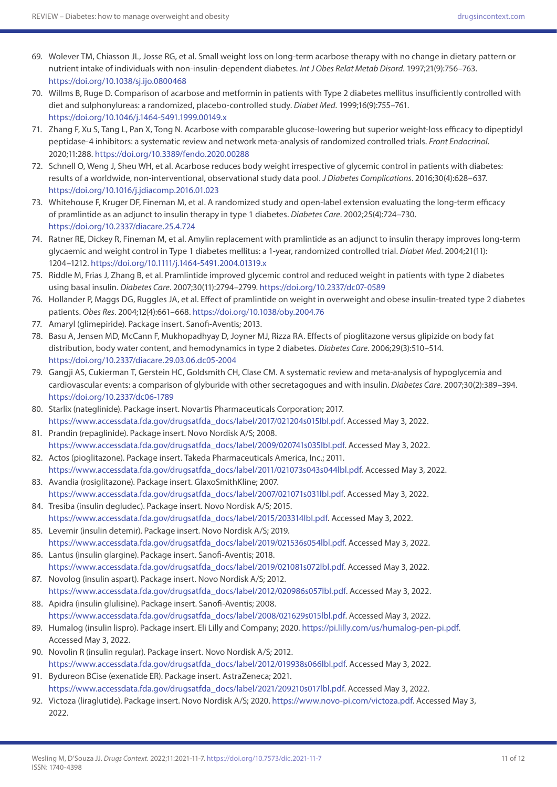- 69. Wolever TM, Chiasson JL, Josse RG, et al. Small weight loss on long-term acarbose therapy with no change in dietary pattern or nutrient intake of individuals with non-insulin-dependent diabetes. *Int J Obes Relat Metab Disord*. 1997;21(9):756–763. <https://doi.org/10.1038/sj.ijo.0800468>
- 70. Willms B, Ruge D. Comparison of acarbose and metformin in patients with Type 2 diabetes mellitus insufficiently controlled with diet and sulphonylureas: a randomized, placebo-controlled study. *Diabet Med*. 1999;16(9):755–761. <https://doi.org/10.1046/j.1464-5491.1999.00149.x>
- 71. Zhang F, Xu S, Tang L, Pan X, Tong N. Acarbose with comparable glucose-lowering but superior weight-loss efficacy to dipeptidyl peptidase-4 inhibitors: a systematic review and network meta-analysis of randomized controlled trials. *Front Endocrinol*. 2020;11:288. <https://doi.org/10.3389/fendo.2020.00288>
- 72. Schnell O, Weng J, Sheu WH, et al. Acarbose reduces body weight irrespective of glycemic control in patients with diabetes: results of a worldwide, non-interventional, observational study data pool. *J Diabetes Complications*. 2016;30(4):628–637. <https://doi.org/10.1016/j.jdiacomp.2016.01.023>
- 73. Whitehouse F, Kruger DF, Fineman M, et al. A randomized study and open-label extension evaluating the long-term efficacy of pramlintide as an adjunct to insulin therapy in type 1 diabetes. *Diabetes Care*. 2002;25(4):724–730. <https://doi.org/10.2337/diacare.25.4.724>
- 74. Ratner RE, Dickey R, Fineman M, et al. Amylin replacement with pramlintide as an adjunct to insulin therapy improves long-term glycaemic and weight control in Type 1 diabetes mellitus: a 1-year, randomized controlled trial. *Diabet Med*. 2004;21(11): 1204–1212.<https://doi.org/10.1111/j.1464-5491.2004.01319.x>
- 75. Riddle M, Frias J, Zhang B, et al. Pramlintide improved glycemic control and reduced weight in patients with type 2 diabetes using basal insulin. *Diabetes Care*. 2007;30(11):2794–2799. <https://doi.org/10.2337/dc07-0589>
- 76. Hollander P, Maggs DG, Ruggles JA, et al. Effect of pramlintide on weight in overweight and obese insulin-treated type 2 diabetes patients. *Obes Res*. 2004;12(4):661–668.<https://doi.org/10.1038/oby.2004.76>
- 77. Amaryl (glimepiride). Package insert. Sanofi-Aventis; 2013.
- 78. Basu A, Jensen MD, McCann F, Mukhopadhyay D, Joyner MJ, Rizza RA. Effects of pioglitazone versus glipizide on body fat distribution, body water content, and hemodynamics in type 2 diabetes. *Diabetes Care*. 2006;29(3):510–514. <https://doi.org/10.2337/diacare.29.03.06.dc05-2004>
- 79. Gangji AS, Cukierman T, Gerstein HC, Goldsmith CH, Clase CM. A systematic review and meta-analysis of hypoglycemia and cardiovascular events: a comparison of glyburide with other secretagogues and with insulin. *Diabetes Care*. 2007;30(2):389–394. <https://doi.org/10.2337/dc06-1789>
- 80. Starlix (nateglinide). Package insert. Novartis Pharmaceuticals Corporation; 2017. [https://www.accessdata.fda.gov/drugsatfda\\_docs/label/2017/021204s015lbl.pdf](https://www.accessdata.fda.gov/drugsatfda_docs/label/2017/021204s015lbl.pdf). Accessed May 3, 2022.
- 81. Prandin (repaglinide). Package insert. Novo Nordisk A/S; 2008. [https://www.accessdata.fda.gov/drugsatfda\\_docs/label/2009/020741s035lbl.pdf.](https://www.accessdata.fda.gov/drugsatfda_docs/label/2009/020741s035lbl.pdf) Accessed May 3, 2022.
- 82. Actos (pioglitazone). Package insert. Takeda Pharmaceuticals America, Inc.; 2011. [https://www.accessdata.fda.gov/drugsatfda\\_docs/label/2011/021073s043s044lbl.pdf.](https://www.accessdata.fda.gov/drugsatfda_docs/label/2011/021073s043s044lbl.pdf) Accessed May 3, 2022.
- 83. Avandia (rosiglitazone). Package insert. GlaxoSmithKline; 2007. [https://www.accessdata.fda.gov/drugsatfda\\_docs/label/2007/021071s031lbl.pdf](https://www.accessdata.fda.gov/drugsatfda_docs/label/2007/021071s031lbl.pdf). Accessed May 3, 2022.
- 84. Tresiba (insulin degludec). Package insert. Novo Nordisk A/S; 2015. [https://www.accessdata.fda.gov/drugsatfda\\_docs/label/2015/203314lbl.pdf](https://www.accessdata.fda.gov/drugsatfda_docs/label/2015/203314lbl.pdf). Accessed May 3, 2022.
- 85. Levemir (insulin detemir). Package insert. Novo Nordisk A/S; 2019. [https://www.accessdata.fda.gov/drugsatfda\\_docs/label/2019/021536s054lbl.pdf.](https://www.accessdata.fda.gov/drugsatfda_docs/label/2019/021536s054lbl.pdf) Accessed May 3, 2022.
- 86. Lantus (insulin glargine). Package insert. Sanofi-Aventis; 2018. [https://www.accessdata.fda.gov/drugsatfda\\_docs/label/2019/021081s072lbl.pdf.](https://www.accessdata.fda.gov/drugsatfda_docs/label/2019/021081s072lbl.pdf) Accessed May 3, 2022.
- 87. Novolog (insulin aspart). Package insert. Novo Nordisk A/S; 2012. [https://www.accessdata.fda.gov/drugsatfda\\_docs/label/2012/020986s057lbl.pdf.](https://www.accessdata.fda.gov/drugsatfda_docs/label/2012/020986s057lbl.pdf) Accessed May 3, 2022.
- 88. Apidra (insulin glulisine). Package insert. Sanofi-Aventis; 2008. [https://www.accessdata.fda.gov/drugsatfda\\_docs/label/2008/021629s015lbl.pdf](https://www.accessdata.fda.gov/drugsatfda_docs/label/2008/021629s015lbl.pdf). Accessed May 3, 2022.
- 89. Humalog (insulin lispro). Package insert. Eli Lilly and Company; 2020. <https://pi.lilly.com/us/humalog-pen-pi.pdf>. Accessed May 3, 2022.
- 90. Novolin R (insulin regular). Package insert. Novo Nordisk A/S; 2012. [https://www.accessdata.fda.gov/drugsatfda\\_docs/label/2012/019938s066lbl.pdf](https://www.accessdata.fda.gov/drugsatfda_docs/label/2012/019938s066lbl.pdf). Accessed May 3, 2022.
- 91. Bydureon BCise (exenatide ER). Package insert. AstraZeneca; 2021. [https://www.accessdata.fda.gov/drugsatfda\\_docs/label/2021/209210s017lbl.pdf.](https://www.accessdata.fda.gov/drugsatfda_docs/label/2021/209210s017lbl.pdf) Accessed May 3, 2022.
- 92. Victoza (liraglutide). Package insert. Novo Nordisk A/S; 2020. <https://www.novo-pi.com/victoza.pdf>. Accessed May 3, 2022.